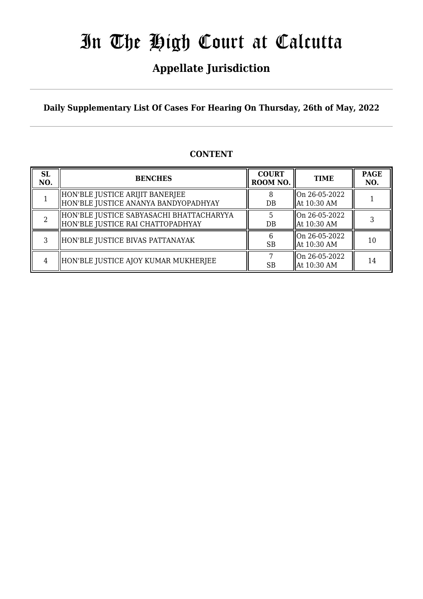### **Appellate Jurisdiction**

**Daily Supplementary List Of Cases For Hearing On Thursday, 26th of May, 2022**

### **CONTENT**

| <b>SL</b><br>NO. | <b>BENCHES</b>                                                                | <b>COURT</b><br>ROOM NO. | <b>TIME</b>                       | <b>PAGE</b><br>NO. |
|------------------|-------------------------------------------------------------------------------|--------------------------|-----------------------------------|--------------------|
|                  | HON'BLE JUSTICE ARIJIT BANERJEE<br>HON'BLE JUSTICE ANANYA BANDYOPADHYAY       | 8<br>DB                  | On 26-05-2022<br>  At 10:30 AM    |                    |
|                  | HON'BLE JUSTICE SABYASACHI BHATTACHARYYA<br>HON'BLE JUSTICE RAI CHATTOPADHYAY | DB                       | $ On 26-05-2022$<br>  At 10:30 AM |                    |
| 3                | HON'BLE JUSTICE BIVAS PATTANAYAK                                              | <b>SB</b>                | $ On 26-05-2022$<br>  At 10:30 AM | 10                 |
| 4                | HON'BLE JUSTICE AJOY KUMAR MUKHERJEE                                          | <b>SB</b>                | On 26-05-2022<br>  At 10:30 AM    | 14                 |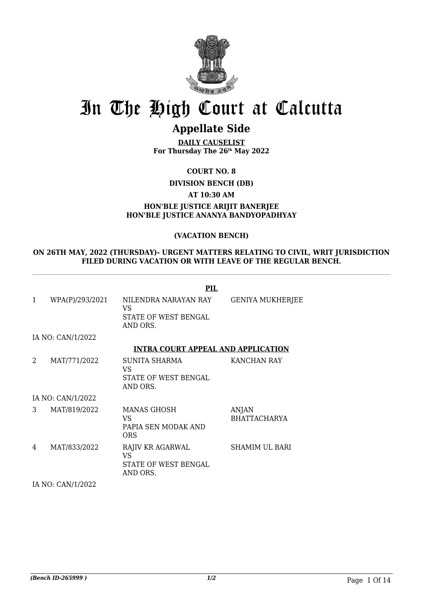

### **Appellate Side**

**DAILY CAUSELIST For Thursday The 26th May 2022**

**COURT NO. 8**

**DIVISION BENCH (DB)**

**AT 10:30 AM**

#### **HON'BLE JUSTICE ARIJIT BANERJEE HON'BLE JUSTICE ANANYA BANDYOPADHYAY**

#### **(VACATION BENCH)**

#### **ON 26TH MAY, 2022 (THURSDAY)- URGENT MATTERS RELATING TO CIVIL, WRIT JURISDICTION FILED DURING VACATION OR WITH LEAVE OF THE REGULAR BENCH.**

|              |                   | <b>PIL</b>                                                        |                                     |
|--------------|-------------------|-------------------------------------------------------------------|-------------------------------------|
| $\mathbf{1}$ | WPA(P)/293/2021   | NILENDRA NARAYAN RAY<br>VS<br>STATE OF WEST BENGAL<br>AND ORS.    | <b>GENIYA MUKHERJEE</b>             |
|              | IA NO: CAN/1/2022 |                                                                   |                                     |
|              |                   | <b>INTRA COURT APPEAL AND APPLICATION</b>                         |                                     |
| 2            | MAT/771/2022      | <b>SUNITA SHARMA</b><br>VS.<br>STATE OF WEST BENGAL<br>AND ORS.   | KANCHAN RAY                         |
|              | IA NO: CAN/1/2022 |                                                                   |                                     |
| 3            | MAT/819/2022      | MANAS GHOSH<br>VS.<br>PAPIA SEN MODAK AND<br>ORS                  | <b>ANJAN</b><br><b>BHATTACHARYA</b> |
| 4            | MAT/833/2022      | RAJIV KR AGARWAL<br><b>VS</b><br>STATE OF WEST BENGAL<br>AND ORS. | <b>SHAMIM UL BARI</b>               |
|              | IA NO: CAN/1/2022 |                                                                   |                                     |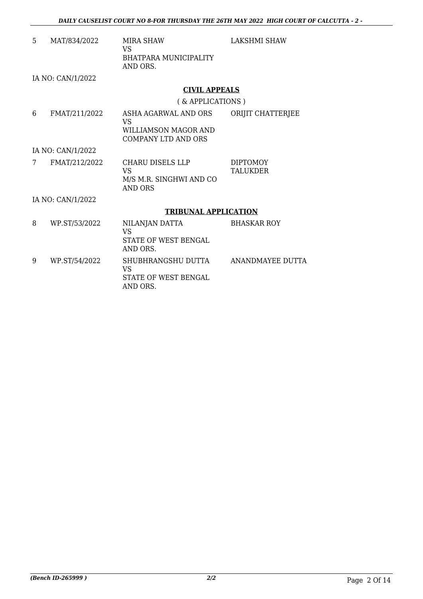| 5 | MAT/834/2022      | <b>MIRA SHAW</b><br><b>VS</b><br><b>BHATPARA MUNICIPALITY</b>                     | LAKSHMI SHAW                       |
|---|-------------------|-----------------------------------------------------------------------------------|------------------------------------|
|   |                   | AND ORS.                                                                          |                                    |
|   | IA NO: CAN/1/2022 |                                                                                   |                                    |
|   |                   | <b>CIVIL APPEALS</b>                                                              |                                    |
|   |                   | (& APPLICATIONS)                                                                  |                                    |
|   |                   |                                                                                   |                                    |
| 6 | FMAT/211/2022     | ASHA AGARWAL AND ORS<br><b>VS</b>                                                 | ORIJIT CHATTERJEE                  |
|   |                   | WILLIAMSON MAGOR AND                                                              |                                    |
|   |                   | <b>COMPANY LTD AND ORS</b>                                                        |                                    |
|   | IA NO: CAN/1/2022 |                                                                                   |                                    |
| 7 | FMAT/212/2022     | <b>CHARU DISELS LLP</b><br><b>VS</b><br>M/S M.R. SINGHWI AND CO<br><b>AND ORS</b> | <b>DIPTOMOY</b><br><b>TALUKDER</b> |
|   | IA NO: CAN/1/2022 |                                                                                   |                                    |
|   |                   | <b>TRIBUNAL APPLICATION</b>                                                       |                                    |
| 8 | WP.ST/53/2022     | NILANJAN DATTA<br><b>VS</b><br>STATE OF WEST BENGAL<br>AND ORS.                   | <b>BHASKAR ROY</b>                 |
| 9 | WP.ST/54/2022     | SHUBHRANGSHU DUTTA<br><b>VS</b><br><b>STATE OF WEST BENGAL</b><br>AND ORS.        | ANANDMAYEE DUTTA                   |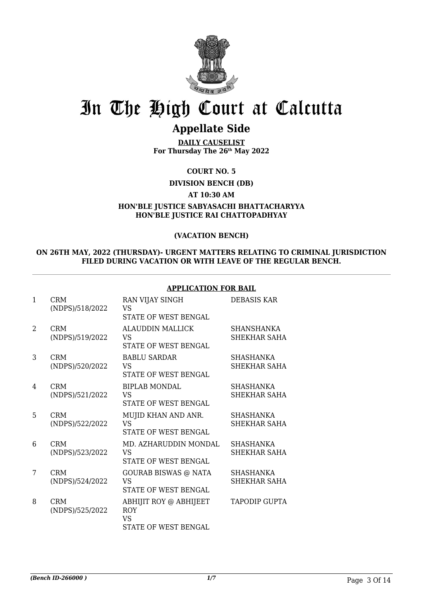

### **Appellate Side**

**DAILY CAUSELIST For Thursday The 26th May 2022**

**COURT NO. 5**

**DIVISION BENCH (DB)**

**AT 10:30 AM**

**HON'BLE JUSTICE SABYASACHI BHATTACHARYYA HON'BLE JUSTICE RAI CHATTOPADHYAY**

#### **(VACATION BENCH)**

#### **ON 26TH MAY, 2022 (THURSDAY)- URGENT MATTERS RELATING TO CRIMINAL JURISDICTION FILED DURING VACATION OR WITH LEAVE OF THE REGULAR BENCH.**

#### **APPLICATION FOR BAIL**

| 1              | <b>CRM</b><br>(NDPS)/518/2022 | RAN VIJAY SINGH<br><b>VS</b><br>STATE OF WEST BENGAL                      | DEBASIS KAR                              |
|----------------|-------------------------------|---------------------------------------------------------------------------|------------------------------------------|
| $\mathfrak{D}$ | <b>CRM</b><br>(NDPS)/519/2022 | <b>ALAUDDIN MALLICK</b><br>VS<br><b>STATE OF WEST BENGAL</b>              | <b>SHANSHANKA</b><br><b>SHEKHAR SAHA</b> |
| 3              | <b>CRM</b><br>(NDPS)/520/2022 | <b>BABLU SARDAR</b><br>VS.<br><b>STATE OF WEST BENGAL</b>                 | <b>SHASHANKA</b><br><b>SHEKHAR SAHA</b>  |
| 4              | <b>CRM</b><br>(NDPS)/521/2022 | <b>BIPLAB MONDAL</b><br>VS<br><b>STATE OF WEST BENGAL</b>                 | <b>SHASHANKA</b><br>SHEKHAR SAHA         |
| 5              | <b>CRM</b><br>(NDPS)/522/2022 | MUJID KHAN AND ANR.<br>VS<br><b>STATE OF WEST BENGAL</b>                  | <b>SHASHANKA</b><br><b>SHEKHAR SAHA</b>  |
| 6              | <b>CRM</b><br>(NDPS)/523/2022 | MD. AZHARUDDIN MONDAL<br>VS<br>STATE OF WEST BENGAL                       | <b>SHASHANKA</b><br>SHEKHAR SAHA         |
| 7              | <b>CRM</b><br>(NDPS)/524/2022 | GOURAB BISWAS @ NATA<br>VS<br><b>STATE OF WEST BENGAL</b>                 | SHASHANKA<br><b>SHEKHAR SAHA</b>         |
| 8              | <b>CRM</b><br>(NDPS)/525/2022 | ABHIJIT ROY @ ABHIJEET<br><b>ROY</b><br>VS<br><b>STATE OF WEST BENGAL</b> | <b>TAPODIP GUPTA</b>                     |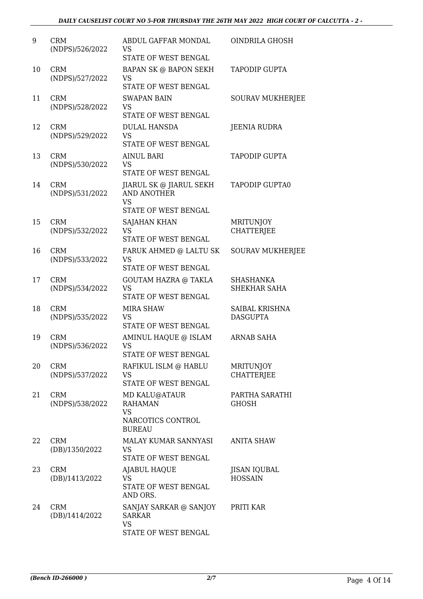| 9  | <b>CRM</b><br>(NDPS)/526/2022 | ABDUL GAFFAR MONDAL<br><b>VS</b><br>STATE OF WEST BENGAL                           | <b>OINDRILA GHOSH</b>                 |
|----|-------------------------------|------------------------------------------------------------------------------------|---------------------------------------|
| 10 | <b>CRM</b><br>(NDPS)/527/2022 | <b>BAPAN SK @ BAPON SEKH</b><br><b>VS</b><br>STATE OF WEST BENGAL                  | TAPODIP GUPTA                         |
| 11 | <b>CRM</b><br>(NDPS)/528/2022 | <b>SWAPAN BAIN</b><br><b>VS</b><br>STATE OF WEST BENGAL                            | <b>SOURAV MUKHERJEE</b>               |
| 12 | <b>CRM</b><br>(NDPS)/529/2022 | <b>DULAL HANSDA</b><br><b>VS</b><br>STATE OF WEST BENGAL                           | <b>JEENIA RUDRA</b>                   |
| 13 | <b>CRM</b><br>(NDPS)/530/2022 | <b>AINUL BARI</b><br><b>VS</b><br>STATE OF WEST BENGAL                             | <b>TAPODIP GUPTA</b>                  |
| 14 | <b>CRM</b><br>(NDPS)/531/2022 | JIARUL SK @ JIARUL SEKH<br><b>AND ANOTHER</b><br><b>VS</b><br>STATE OF WEST BENGAL | <b>TAPODIP GUPTA0</b>                 |
| 15 | <b>CRM</b><br>(NDPS)/532/2022 | <b>SAJAHAN KHAN</b><br><b>VS</b><br>STATE OF WEST BENGAL                           | <b>MRITUNJOY</b><br><b>CHATTERJEE</b> |
| 16 | <b>CRM</b><br>(NDPS)/533/2022 | FARUK AHMED @ LALTU SK<br>VS<br><b>STATE OF WEST BENGAL</b>                        | <b>SOURAV MUKHERJEE</b>               |
| 17 | <b>CRM</b><br>(NDPS)/534/2022 | <b>GOUTAM HAZRA @ TAKLA</b><br><b>VS</b><br>STATE OF WEST BENGAL                   | SHASHANKA<br>SHEKHAR SAHA             |
| 18 | <b>CRM</b><br>(NDPS)/535/2022 | <b>MIRA SHAW</b><br><b>VS</b><br>STATE OF WEST BENGAL                              | SAIBAL KRISHNA<br><b>DASGUPTA</b>     |
| 19 | <b>CRM</b><br>(NDPS)/536/2022 | AMINUL HAQUE @ ISLAM<br>VS<br><b>STATE OF WEST BENGAL</b>                          | <b>ARNAB SAHA</b>                     |
| 20 | <b>CRM</b><br>(NDPS)/537/2022 | RAFIKUL ISLM @ HABLU<br>VS<br>STATE OF WEST BENGAL                                 | <b>MRITUNJOY</b><br><b>CHATTERJEE</b> |
| 21 | <b>CRM</b><br>(NDPS)/538/2022 | MD KALU@ATAUR<br><b>RAHAMAN</b><br><b>VS</b><br>NARCOTICS CONTROL<br><b>BUREAU</b> | PARTHA SARATHI<br>GHOSH               |
| 22 | <b>CRM</b><br>(DB)/1350/2022  | MALAY KUMAR SANNYASI<br><b>VS</b><br>STATE OF WEST BENGAL                          | <b>ANITA SHAW</b>                     |
| 23 | <b>CRM</b><br>(DB)/1413/2022  | AJABUL HAQUE<br><b>VS</b><br>STATE OF WEST BENGAL<br>AND ORS.                      | <b>JISAN IQUBAL</b><br><b>HOSSAIN</b> |
| 24 | <b>CRM</b><br>(DB)/1414/2022  | SANJAY SARKAR @ SANJOY<br><b>SARKAR</b><br><b>VS</b><br>STATE OF WEST BENGAL       | PRITI KAR                             |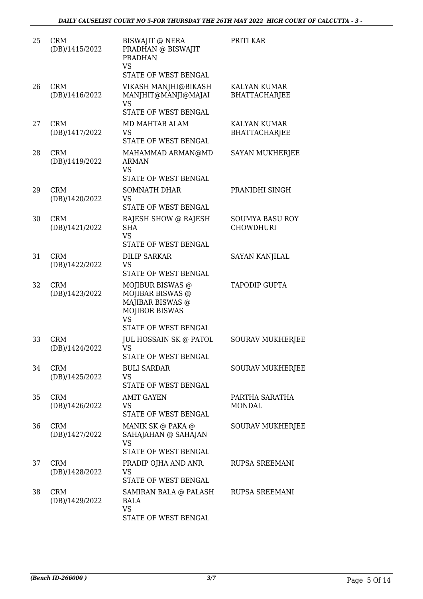| 25 | <b>CRM</b><br>(DB)/1415/2022 | BISWAJIT @ NERA<br>PRADHAN @ BISWAJIT<br><b>PRADHAN</b><br><b>VS</b><br>STATE OF WEST BENGAL   | PRITI KAR                                   |
|----|------------------------------|------------------------------------------------------------------------------------------------|---------------------------------------------|
| 26 | <b>CRM</b><br>(DB)/1416/2022 | VIKASH MANJHI@BIKASH<br>MANJHIT@MANJI@MAJAI<br><b>VS</b><br><b>STATE OF WEST BENGAL</b>        | <b>KALYAN KUMAR</b><br><b>BHATTACHARJEE</b> |
| 27 | <b>CRM</b><br>(DB)/1417/2022 | MD MAHTAB ALAM<br><b>VS</b><br>STATE OF WEST BENGAL                                            | KALYAN KUMAR<br><b>BHATTACHARJEE</b>        |
| 28 | <b>CRM</b><br>(DB)/1419/2022 | MAHAMMAD ARMAN@MD<br><b>ARMAN</b><br><b>VS</b><br><b>STATE OF WEST BENGAL</b>                  | <b>SAYAN MUKHERJEE</b>                      |
| 29 | <b>CRM</b><br>(DB)/1420/2022 | <b>SOMNATH DHAR</b><br><b>VS</b><br>STATE OF WEST BENGAL                                       | PRANIDHI SINGH                              |
| 30 | <b>CRM</b><br>(DB)/1421/2022 | RAJESH SHOW @ RAJESH<br><b>SHA</b><br><b>VS</b><br>STATE OF WEST BENGAL                        | <b>SOUMYA BASU ROY</b><br><b>CHOWDHURI</b>  |
| 31 | <b>CRM</b><br>(DB)/1422/2022 | <b>DILIP SARKAR</b><br>VS<br>STATE OF WEST BENGAL                                              | <b>SAYAN KANJILAL</b>                       |
| 32 | <b>CRM</b><br>(DB)/1423/2022 | MOJIBUR BISWAS @<br>MOJIBAR BISWAS @<br>MAJIBAR BISWAS @<br><b>MOJIBOR BISWAS</b><br><b>VS</b> | <b>TAPODIP GUPTA</b>                        |
|    |                              | STATE OF WEST BENGAL                                                                           |                                             |
| 33 | <b>CRM</b><br>(DB)/1424/2022 | JUL HOSSAIN SK @ PATOL<br>VS<br><b>STATE OF WEST BENGAL</b>                                    | <b>SOURAV MUKHERJEE</b>                     |
| 34 | <b>CRM</b><br>(DB)/1425/2022 | <b>BULI SARDAR</b><br><b>VS</b><br>STATE OF WEST BENGAL                                        | <b>SOURAV MUKHERJEE</b>                     |
| 35 | <b>CRM</b><br>(DB)/1426/2022 | <b>AMIT GAYEN</b><br>VS<br>STATE OF WEST BENGAL                                                | PARTHA SARATHA<br>MONDAL                    |
| 36 | <b>CRM</b><br>(DB)/1427/2022 | MANIK SK @ PAKA @<br>SAHAJAHAN @ SAHAJAN<br><b>VS</b><br>STATE OF WEST BENGAL                  | <b>SOURAV MUKHERJEE</b>                     |
| 37 | <b>CRM</b><br>(DB)/1428/2022 | PRADIP OJHA AND ANR.<br><b>VS</b><br>STATE OF WEST BENGAL                                      | RUPSA SREEMANI                              |
| 38 | <b>CRM</b><br>(DB)/1429/2022 | SAMIRAN BALA @ PALASH<br><b>BALA</b><br><b>VS</b><br>STATE OF WEST BENGAL                      | <b>RUPSA SREEMANI</b>                       |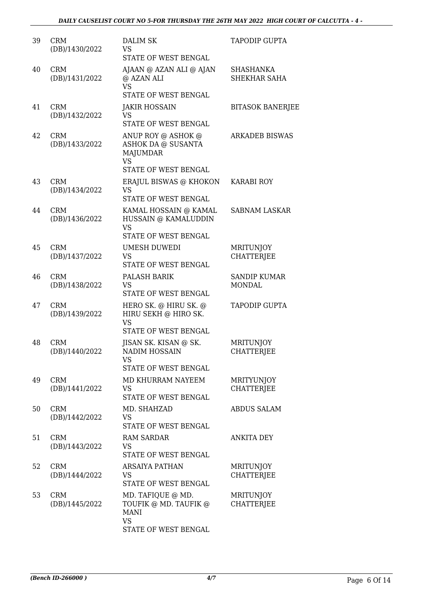| 39 | <b>CRM</b><br>(DB)/1430/2022 | <b>DALIM SK</b><br>VS.<br>STATE OF WEST BENGAL                                                   | <b>TAPODIP GUPTA</b>                   |
|----|------------------------------|--------------------------------------------------------------------------------------------------|----------------------------------------|
| 40 | <b>CRM</b><br>(DB)/1431/2022 | AJAAN @ AZAN ALI @ AJAN<br>@ AZAN ALI<br><b>VS</b><br>STATE OF WEST BENGAL                       | SHASHANKA<br>SHEKHAR SAHA              |
| 41 | <b>CRM</b><br>(DB)/1432/2022 | <b>JAKIR HOSSAIN</b><br><b>VS</b><br>STATE OF WEST BENGAL                                        | <b>BITASOK BANERJEE</b>                |
| 42 | <b>CRM</b><br>(DB)/1433/2022 | ANUP ROY @ ASHOK @<br>ASHOK DA @ SUSANTA<br><b>MAJUMDAR</b><br>VS<br><b>STATE OF WEST BENGAL</b> | <b>ARKADEB BISWAS</b>                  |
| 43 | <b>CRM</b><br>(DB)/1434/2022 | ERAJUL BISWAS @ KHOKON<br><b>VS</b><br>STATE OF WEST BENGAL                                      | <b>KARABI ROY</b>                      |
| 44 | <b>CRM</b><br>(DB)/1436/2022 | KAMAL HOSSAIN @ KAMAL<br>HUSSAIN @ KAMALUDDIN<br><b>VS</b><br>STATE OF WEST BENGAL               | <b>SABNAM LASKAR</b>                   |
| 45 | <b>CRM</b><br>(DB)/1437/2022 | <b>UMESH DUWEDI</b><br><b>VS</b><br>STATE OF WEST BENGAL                                         | <b>MRITUNJOY</b><br><b>CHATTERJEE</b>  |
| 46 | <b>CRM</b><br>(DB)/1438/2022 | PALASH BARIK<br><b>VS</b><br>STATE OF WEST BENGAL                                                | <b>SANDIP KUMAR</b><br><b>MONDAL</b>   |
| 47 | <b>CRM</b><br>(DB)/1439/2022 | HERO SK. @ HIRU SK. @<br>HIRU SEKH @ HIRO SK.<br><b>VS</b><br>STATE OF WEST BENGAL               | <b>TAPODIP GUPTA</b>                   |
| 48 | <b>CRM</b><br>(DB)/1440/2022 | JISAN SK. KISAN @ SK.<br>NADIM HOSSAIN<br>VS.<br>STATE OF WEST BENGAL                            | MRITUNJOY<br><b>CHATTERJEE</b>         |
| 49 | <b>CRM</b><br>(DB)/1441/2022 | MD KHURRAM NAYEEM<br><b>VS</b><br><b>STATE OF WEST BENGAL</b>                                    | <b>MRITYUNJOY</b><br><b>CHATTERJEE</b> |
| 50 | <b>CRM</b><br>(DB)/1442/2022 | MD. SHAHZAD<br><b>VS</b><br>STATE OF WEST BENGAL                                                 | ABDUS SALAM                            |
| 51 | <b>CRM</b><br>(DB)/1443/2022 | <b>RAM SARDAR</b><br>VS<br>STATE OF WEST BENGAL                                                  | <b>ANKITA DEY</b>                      |
| 52 | <b>CRM</b><br>(DB)/1444/2022 | <b>ARSAIYA PATHAN</b><br>VS.<br>STATE OF WEST BENGAL                                             | <b>MRITUNJOY</b><br><b>CHATTERJEE</b>  |
| 53 | <b>CRM</b><br>(DB)/1445/2022 | MD. TAFIQUE @ MD.<br>TOUFIK @ MD. TAUFIK @<br><b>MANI</b><br><b>VS</b><br>STATE OF WEST BENGAL   | <b>MRITUNJOY</b><br><b>CHATTERJEE</b>  |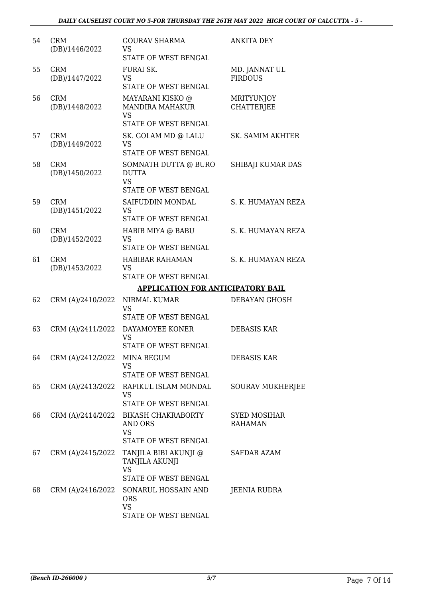| 54 | <b>CRM</b><br>(DB)/1446/2022 | <b>GOURAV SHARMA</b><br><b>VS</b><br>STATE OF WEST BENGAL                                      | <b>ANKITA DEY</b>                      |
|----|------------------------------|------------------------------------------------------------------------------------------------|----------------------------------------|
| 55 | <b>CRM</b><br>(DB)/1447/2022 | FURAI SK.<br><b>VS</b><br>STATE OF WEST BENGAL                                                 | MD. JANNAT UL<br><b>FIRDOUS</b>        |
| 56 | <b>CRM</b><br>(DB)/1448/2022 | MAYARANI KISKO @<br><b>MANDIRA MAHAKUR</b><br><b>VS</b><br>STATE OF WEST BENGAL                | <b>MRITYUNJOY</b><br><b>CHATTERIEE</b> |
| 57 | <b>CRM</b><br>(DB)/1449/2022 | SK. GOLAM MD @ LALU<br>VS<br>STATE OF WEST BENGAL                                              | <b>SK. SAMIM AKHTER</b>                |
| 58 | <b>CRM</b><br>(DB)/1450/2022 | SOMNATH DUTTA @ BURO<br><b>DUTTA</b><br><b>VS</b><br>STATE OF WEST BENGAL                      | SHIBAJI KUMAR DAS                      |
| 59 | <b>CRM</b><br>(DB)/1451/2022 | SAIFUDDIN MONDAL<br><b>VS</b><br>STATE OF WEST BENGAL                                          | S. K. HUMAYAN REZA                     |
| 60 | <b>CRM</b><br>(DB)/1452/2022 | HABIB MIYA @ BABU<br><b>VS</b><br>STATE OF WEST BENGAL                                         | S. K. HUMAYAN REZA                     |
| 61 | <b>CRM</b><br>(DB)/1453/2022 | <b>HABIBAR RAHAMAN</b><br><b>VS</b><br>STATE OF WEST BENGAL                                    | S. K. HUMAYAN REZA                     |
|    |                              | <b>APPLICATION FOR ANTICIPATORY BAIL</b>                                                       |                                        |
| 62 | CRM (A)/2410/2022            | NIRMAL KUMAR<br><b>VS</b><br>STATE OF WEST BENGAL                                              | <b>DEBAYAN GHOSH</b>                   |
| 63 | CRM (A)/2411/2022            | DAYAMOYEE KONER<br>VS<br><b>STATE OF WEST BENGAL</b>                                           | <b>DEBASIS KAR</b>                     |
| 64 | CRM (A)/2412/2022            | MINA BEGUM<br><b>VS</b><br>STATE OF WEST BENGAL                                                | <b>DEBASIS KAR</b>                     |
| 65 | CRM (A)/2413/2022            | RAFIKUL ISLAM MONDAL<br>VS<br>STATE OF WEST BENGAL                                             | <b>SOURAV MUKHERJEE</b>                |
| 66 | CRM (A)/2414/2022            | <b>BIKASH CHAKRABORTY</b><br><b>AND ORS</b><br><b>VS</b><br>STATE OF WEST BENGAL               | <b>SYED MOSIHAR</b><br><b>RAHAMAN</b>  |
| 67 | CRM (A)/2415/2022            | TANJILA BIBI AKUNJI @<br>TANJILA AKUNJI<br><b>VS</b>                                           | <b>SAFDAR AZAM</b>                     |
| 68 | CRM (A)/2416/2022            | STATE OF WEST BENGAL<br>SONARUL HOSSAIN AND<br><b>ORS</b><br><b>VS</b><br>STATE OF WEST BENGAL | JEENIA RUDRA                           |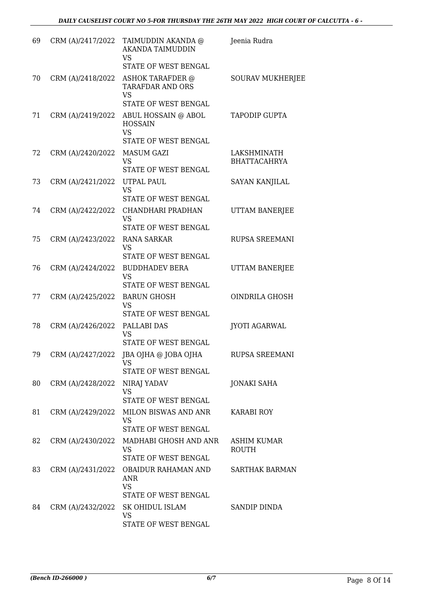| 69 | CRM (A)/2417/2022 | TAIMUDDIN AKANDA @<br><b>AKANDA TAIMUDDIN</b><br><b>VS</b><br>STATE OF WEST BENGAL | Jeenia Rudra                       |
|----|-------------------|------------------------------------------------------------------------------------|------------------------------------|
| 70 | CRM (A)/2418/2022 | ASHOK TARAFDER @<br><b>TARAFDAR AND ORS</b><br><b>VS</b><br>STATE OF WEST BENGAL   | <b>SOURAV MUKHERJEE</b>            |
| 71 | CRM (A)/2419/2022 | ABUL HOSSAIN @ ABOL<br><b>HOSSAIN</b><br><b>VS</b>                                 | <b>TAPODIP GUPTA</b>               |
| 72 | CRM (A)/2420/2022 | STATE OF WEST BENGAL<br><b>MASUM GAZI</b><br><b>VS</b><br>STATE OF WEST BENGAL     | LAKSHMINATH<br><b>BHATTACAHRYA</b> |
| 73 | CRM (A)/2421/2022 | UTPAL PAUL<br><b>VS</b><br>STATE OF WEST BENGAL                                    | <b>SAYAN KANJILAL</b>              |
| 74 | CRM (A)/2422/2022 | CHANDHARI PRADHAN<br><b>VS</b><br>STATE OF WEST BENGAL                             | UTTAM BANERJEE                     |
| 75 | CRM (A)/2423/2022 | <b>RANA SARKAR</b><br><b>VS</b><br>STATE OF WEST BENGAL                            | <b>RUPSA SREEMANI</b>              |
| 76 | CRM (A)/2424/2022 | <b>BUDDHADEV BERA</b><br><b>VS</b><br>STATE OF WEST BENGAL                         | UTTAM BANERJEE                     |
| 77 | CRM (A)/2425/2022 | <b>BARUN GHOSH</b><br><b>VS</b><br>STATE OF WEST BENGAL                            | <b>OINDRILA GHOSH</b>              |
| 78 | CRM (A)/2426/2022 | PALLABI DAS<br><b>VS</b><br><b>STATE OF WEST BENGAL</b>                            | <b>JYOTI AGARWAL</b>               |
| 79 | CRM (A)/2427/2022 | JBA OJHA @ JOBA OJHA<br><b>VS</b><br>STATE OF WEST BENGAL                          | RUPSA SREEMANI                     |
| 80 | CRM (A)/2428/2022 | NIRAJ YADAV<br><b>VS</b><br>STATE OF WEST BENGAL                                   | <b>JONAKI SAHA</b>                 |
| 81 | CRM (A)/2429/2022 | MILON BISWAS AND ANR<br><b>VS</b><br>STATE OF WEST BENGAL                          | KARABI ROY                         |
| 82 |                   | CRM (A)/2430/2022 MADHABI GHOSH AND ANR<br><b>VS</b><br>STATE OF WEST BENGAL       | <b>ASHIM KUMAR</b><br><b>ROUTH</b> |
| 83 | CRM (A)/2431/2022 | OBAIDUR RAHAMAN AND<br>ANR<br><b>VS</b>                                            | <b>SARTHAK BARMAN</b>              |
| 84 | CRM (A)/2432/2022 | STATE OF WEST BENGAL<br>SK OHIDUL ISLAM<br><b>VS</b><br>STATE OF WEST BENGAL       | SANDIP DINDA                       |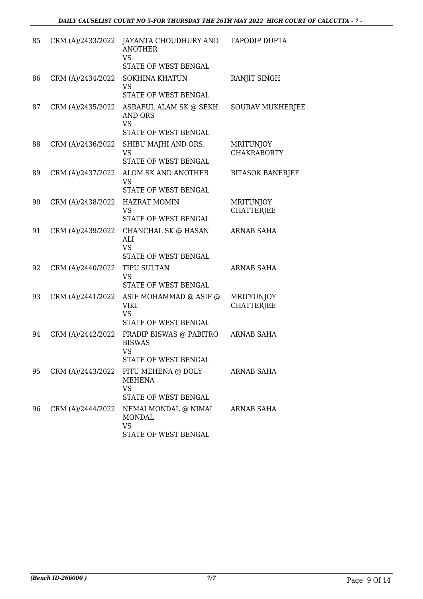| 85 | CRM (A)/2433/2022 | JAYANTA CHOUDHURY AND<br><b>ANOTHER</b><br><b>VS</b>                                         | <b>TAPODIP DUPTA</b>                   |
|----|-------------------|----------------------------------------------------------------------------------------------|----------------------------------------|
|    |                   | STATE OF WEST BENGAL                                                                         |                                        |
| 86 | CRM (A)/2434/2022 | <b>SOKHINA KHATUN</b><br><b>VS</b><br>STATE OF WEST BENGAL                                   | RANJIT SINGH                           |
| 87 | CRM (A)/2435/2022 | ASRAFUL ALAM SK @ SEKH<br><b>AND ORS</b><br><b>VS</b>                                        | <b>SOURAV MUKHERJEE</b>                |
|    |                   | STATE OF WEST BENGAL                                                                         |                                        |
| 88 | CRM (A)/2436/2022 | SHIBU MAJHI AND ORS.<br><b>VS</b><br>STATE OF WEST BENGAL                                    | <b>MRITUNJOY</b><br><b>CHAKRABORTY</b> |
| 89 | CRM (A)/2437/2022 | ALOM SK AND ANOTHER<br><b>VS</b><br>STATE OF WEST BENGAL                                     | <b>BITASOK BANERJEE</b>                |
| 90 | CRM (A)/2438/2022 | <b>HAZRAT MOMIN</b><br><b>VS</b>                                                             | <b>MRITUNJOY</b><br><b>CHATTERJEE</b>  |
| 91 | CRM (A)/2439/2022 | STATE OF WEST BENGAL<br>CHANCHAL SK @ HASAN<br>ALI<br><b>VS</b><br>STATE OF WEST BENGAL      | <b>ARNAB SAHA</b>                      |
| 92 | CRM (A)/2440/2022 | <b>TIPU SULTAN</b><br><b>VS</b><br>STATE OF WEST BENGAL                                      | ARNAB SAHA                             |
| 93 | CRM (A)/2441/2022 | ASIF MOHAMMAD @ ASIF @<br>VIKI<br><b>VS</b><br>STATE OF WEST BENGAL                          | <b>MRITYUNJOY</b><br><b>CHATTERJEE</b> |
| 94 | CRM (A)/2442/2022 | PRADIP BISWAS @ PABITRO<br><b>BISWAS</b><br><b>VS</b><br>STATE OF WEST BENGAL                | <b>ARNAB SAHA</b>                      |
| 95 | CRM (A)/2443/2022 | PITU MEHENA @ DOLY<br>MEHENA<br><b>VS</b><br>STATE OF WEST BENGAL                            | ARNAB SAHA                             |
| 96 |                   | CRM (A)/2444/2022 NEMAI MONDAL @ NIMAI<br><b>MONDAL</b><br><b>VS</b><br>STATE OF WEST BENGAL | <b>ARNAB SAHA</b>                      |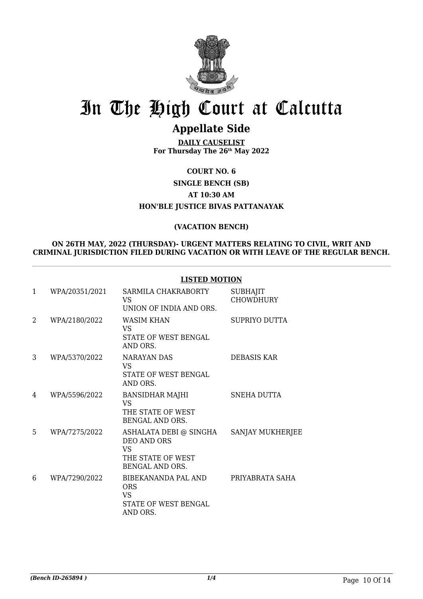

### **Appellate Side**

**DAILY CAUSELIST For Thursday The 26th May 2022**

**COURT NO. 6 SINGLE BENCH (SB) AT 10:30 AM HON'BLE JUSTICE BIVAS PATTANAYAK**

#### **(VACATION BENCH)**

#### **ON 26TH MAY, 2022 (THURSDAY)- URGENT MATTERS RELATING TO CIVIL, WRIT AND CRIMINAL JURISDICTION FILED DURING VACATION OR WITH LEAVE OF THE REGULAR BENCH.**

#### **LISTED MOTION**

| $\mathbf{1}$ | WPA/20351/2021 | SARMILA CHAKRABORTY<br>VS<br>UNION OF INDIA AND ORS.                                              | <b>SUBHAJIT</b><br><b>CHOWDHURY</b> |
|--------------|----------------|---------------------------------------------------------------------------------------------------|-------------------------------------|
| 2            | WPA/2180/2022  | WASIM KHAN<br>VS.<br>STATE OF WEST BENGAL<br>AND ORS.                                             | SUPRIYO DUTTA                       |
| 3            | WPA/5370/2022  | NARAYAN DAS<br>VS.<br><b>STATE OF WEST BENGAL</b><br>AND ORS.                                     | <b>DEBASIS KAR</b>                  |
| 4            | WPA/5596/2022  | BANSIDHAR MAJHI<br>VS<br>THE STATE OF WEST<br>BENGAL AND ORS.                                     | SNEHA DUTTA                         |
| 5            | WPA/7275/2022  | ASHALATA DEBI @ SINGHA<br>DEO AND ORS<br><b>VS</b><br>THE STATE OF WEST<br><b>BENGAL AND ORS.</b> | SANJAY MUKHERJEE                    |
| 6            | WPA/7290/2022  | BIBEKANANDA PAL AND<br><b>ORS</b><br><b>VS</b><br>STATE OF WEST BENGAL<br>AND ORS.                | PRIYABRATA SAHA                     |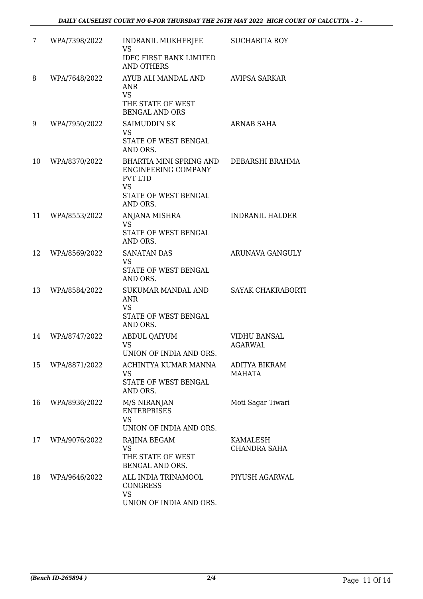| 7  | WPA/7398/2022 | INDRANIL MUKHERJEE<br><b>VS</b><br><b>IDFC FIRST BANK LIMITED</b><br><b>AND OTHERS</b>                                   | <b>SUCHARITA ROY</b>                   |
|----|---------------|--------------------------------------------------------------------------------------------------------------------------|----------------------------------------|
| 8  | WPA/7648/2022 | AYUB ALI MANDAL AND<br><b>ANR</b><br><b>VS</b><br>THE STATE OF WEST<br><b>BENGAL AND ORS</b>                             | <b>AVIPSA SARKAR</b>                   |
| 9  | WPA/7950/2022 | SAIMUDDIN SK<br><b>VS</b><br>STATE OF WEST BENGAL<br>AND ORS.                                                            | ARNAB SAHA                             |
| 10 | WPA/8370/2022 | BHARTIA MINI SPRING AND<br><b>ENGINEERING COMPANY</b><br><b>PVT LTD</b><br><b>VS</b><br>STATE OF WEST BENGAL<br>AND ORS. | DEBARSHI BRAHMA                        |
| 11 | WPA/8553/2022 | <b>ANJANA MISHRA</b><br><b>VS</b><br>STATE OF WEST BENGAL<br>AND ORS.                                                    | <b>INDRANIL HALDER</b>                 |
| 12 | WPA/8569/2022 | <b>SANATAN DAS</b><br><b>VS</b><br>STATE OF WEST BENGAL<br>AND ORS.                                                      | ARUNAVA GANGULY                        |
| 13 | WPA/8584/2022 | SUKUMAR MANDAL AND<br><b>ANR</b><br><b>VS</b><br>STATE OF WEST BENGAL<br>AND ORS.                                        | <b>SAYAK CHAKRABORTI</b>               |
| 14 | WPA/8747/2022 | ABDUL QAIYUM<br>VS<br>UNION OF INDIA AND ORS.                                                                            | <b>VIDHU BANSAL</b><br><b>AGARWAL</b>  |
| 15 | WPA/8871/2022 | ACHINTYA KUMAR MANNA<br><b>VS</b><br>STATE OF WEST BENGAL<br>AND ORS.                                                    | ADITYA BIKRAM<br><b>MAHATA</b>         |
| 16 | WPA/8936/2022 | M/S NIRANJAN<br><b>ENTERPRISES</b><br><b>VS</b><br>UNION OF INDIA AND ORS.                                               | Moti Sagar Tiwari                      |
| 17 | WPA/9076/2022 | RAJINA BEGAM<br><b>VS</b><br>THE STATE OF WEST<br>BENGAL AND ORS.                                                        | <b>KAMALESH</b><br><b>CHANDRA SAHA</b> |
| 18 | WPA/9646/2022 | ALL INDIA TRINAMOOL<br>CONGRESS<br><b>VS</b><br>UNION OF INDIA AND ORS.                                                  | PIYUSH AGARWAL                         |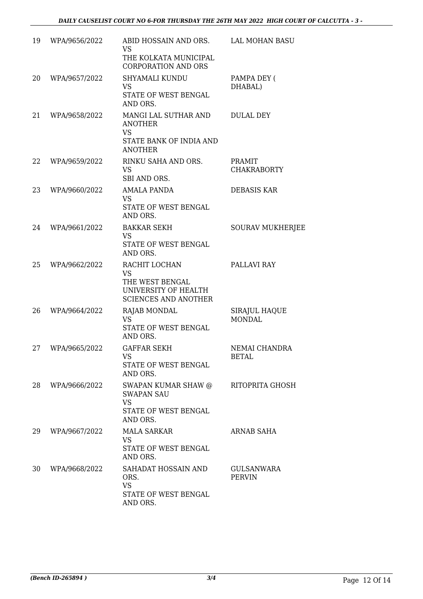| 19 | WPA/9656/2022 | ABID HOSSAIN AND ORS. LAL MOHAN BASU<br><b>VS</b><br>THE KOLKATA MUNICIPAL                           |                                    |
|----|---------------|------------------------------------------------------------------------------------------------------|------------------------------------|
| 20 | WPA/9657/2022 | <b>CORPORATION AND ORS</b><br>SHYAMALI KUNDU<br><b>VS</b><br>STATE OF WEST BENGAL<br>AND ORS.        | PAMPA DEY (<br>DHABAL)             |
| 21 | WPA/9658/2022 | MANGI LAL SUTHAR AND<br><b>ANOTHER</b><br><b>VS</b><br>STATE BANK OF INDIA AND<br><b>ANOTHER</b>     | <b>DULAL DEY</b>                   |
| 22 | WPA/9659/2022 | RINKU SAHA AND ORS.<br><b>VS</b><br>SBI AND ORS.                                                     | PRAMIT<br><b>CHAKRABORTY</b>       |
| 23 | WPA/9660/2022 | <b>AMALA PANDA</b><br><b>VS</b><br>STATE OF WEST BENGAL<br>AND ORS.                                  | DEBASIS KAR                        |
| 24 | WPA/9661/2022 | <b>BAKKAR SEKH</b><br><b>VS</b><br>STATE OF WEST BENGAL<br>AND ORS.                                  | <b>SOURAV MUKHERJEE</b>            |
| 25 | WPA/9662/2022 | RACHIT LOCHAN<br><b>VS</b><br>THE WEST BENGAL<br>UNIVERSITY OF HEALTH<br><b>SCIENCES AND ANOTHER</b> | PALLAVI RAY                        |
| 26 | WPA/9664/2022 | <b>RAJAB MONDAL</b><br>VS<br>STATE OF WEST BENGAL<br>AND ORS.                                        | SIRAJUL HAQUE<br><b>MONDAL</b>     |
| 27 | WPA/9665/2022 | <b>GAFFAR SEKH</b><br>VS<br>STATE OF WEST BENGAL<br>AND ORS.                                         | NEMAI CHANDRA<br><b>BETAL</b>      |
| 28 | WPA/9666/2022 | SWAPAN KUMAR SHAW @<br><b>SWAPAN SAU</b><br><b>VS</b><br>STATE OF WEST BENGAL<br>AND ORS.            | RITOPRITA GHOSH                    |
| 29 | WPA/9667/2022 | <b>MALA SARKAR</b><br>VS<br>STATE OF WEST BENGAL<br>AND ORS.                                         | ARNAB SAHA                         |
| 30 | WPA/9668/2022 | SAHADAT HOSSAIN AND<br>ORS.<br><b>VS</b><br>STATE OF WEST BENGAL<br>AND ORS.                         | <b>GULSANWARA</b><br><b>PERVIN</b> |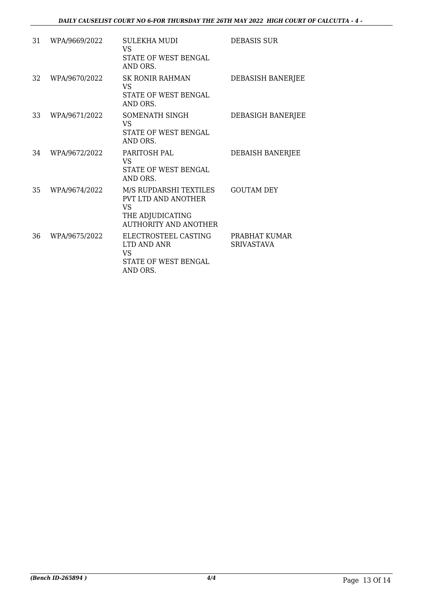| 31 | WPA/9669/2022 | <b>SULEKHA MUDI</b><br><b>VS</b><br><b>STATE OF WEST BENGAL</b><br>AND ORS.                                           | DEBASIS SUR                        |
|----|---------------|-----------------------------------------------------------------------------------------------------------------------|------------------------------------|
| 32 | WPA/9670/2022 | <b>SK RONIR RAHMAN</b><br>VS<br>STATE OF WEST BENGAL<br>AND ORS.                                                      | DEBASISH BANERJEE                  |
| 33 | WPA/9671/2022 | SOMENATH SINGH<br><b>VS</b><br>STATE OF WEST BENGAL<br>AND ORS.                                                       | DEBASIGH BANERJEE                  |
| 34 | WPA/9672/2022 | PARITOSH PAL<br><b>VS</b><br>STATE OF WEST BENGAL<br>AND ORS.                                                         | DEBAISH BANERJEE                   |
| 35 | WPA/9674/2022 | M/S RUPDARSHI TEXTILES<br><b>PVT LTD AND ANOTHER</b><br><b>VS</b><br>THE ADJUDICATING<br><b>AUTHORITY AND ANOTHER</b> | <b>GOUTAM DEY</b>                  |
| 36 | WPA/9675/2022 | ELECTROSTEEL CASTING<br>LTD AND ANR<br>VS<br>STATE OF WEST BENGAL<br>AND ORS.                                         | PRABHAT KUMAR<br><b>SRIVASTAVA</b> |